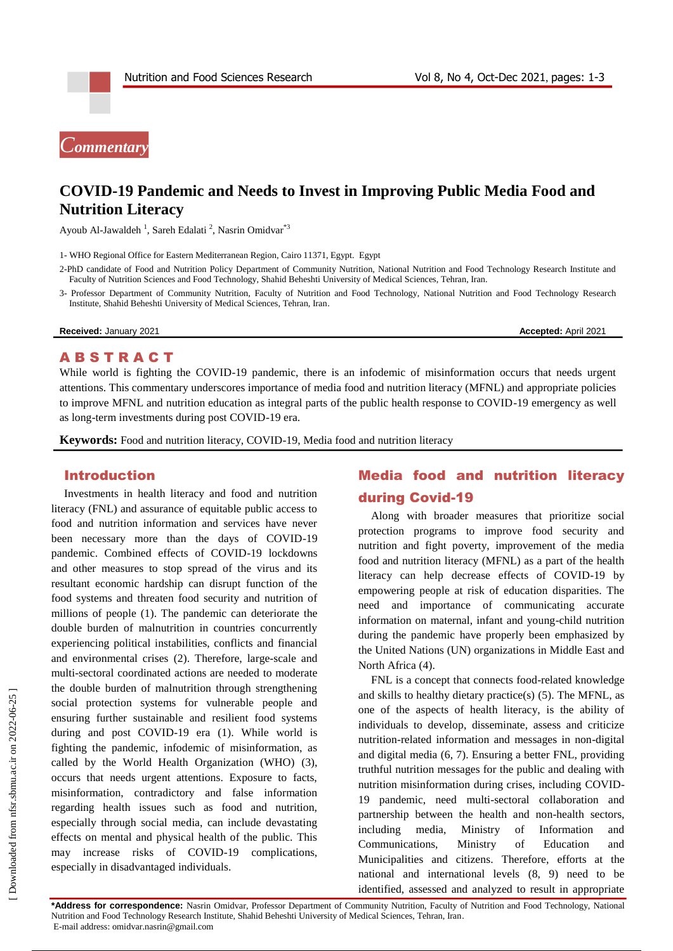# *Commentary*

## **COVID-19 Pandemic and Needs to Invest in Improving Public Media Food and Nutrition Literacy**

Ayoub Al-Jawaldeh<sup>1</sup>, Sareh Edalati<sup>2</sup>, Nasrin Omidvar<sup>\*3</sup>

1- WHO Regional Office for Eastern Mediterranean Region, Cairo 11371, Egypt. Egypt

- 2-PhD candidate of Food and Nutrition Policy Department of Community Nutrition, National Nutrition and Food Technology Research Institute and Faculty of Nutrition Sciences and Food Technology, Shahid Beheshti University of Medical Sciences, Tehran, Iran.
- 3- Professor Department of Community Nutrition, Faculty of Nutrition and Food Technology, National Nutrition and Food Technology Research Institute, Shahid Beheshti University of Medical Sciences, Tehran, Iran.

**Received:** January 2021 **Accepted:** April 2021

### A B S T R A C T

While world is fighting the COVID-19 pandemic, there is an infodemic of misinformation occurs that needs urgent attentions. This commentary underscores importance of media food and nutrition literacy (MFNL) and appropriate policies to improve MFNL and nutrition education as integral parts of the public health response to COVID-19 emergency as well as long-term investments during post COVID-19 era.

**Keywords:** Food and nutrition literacy, COVID-19, Media food and nutrition literacy

#### Introduction

Investments in health literacy and food and nutrition literacy (FNL) and assurance of equitable public access to food and nutrition information and services have never been necessary more than the days of COVID-19 pandemic. Combined effects of COVID-19 lockdowns and other measures to stop spread of the virus and its resultant economic hardship can disrupt function of the food systems and threaten food security and nutrition of millions of people (1). The pandemic can deteriorate the double burden of malnutrition in countries concurrently experiencing political instabilities, conflicts and financial and environmental crises (2). Therefore, large-scale and multi-sectoral coordinated actions are needed to moderate the double burden of malnutrition through strengthening social protection systems for vulnerable people and ensuring further sustainable and resilient food systems during and post COVID-19 era (1). While world is fighting the pandemic, infodemic of misinformation, as called by the World Health Organization (WHO) (3), occurs that needs urgent attentions. Exposure to facts, misinformation, contradictory and false information regarding health issues such as food and nutrition, especially through social media, can include devastating effects on mental and physical health of the public. This may increase risks of COVID-19 complications, especially in disadvantaged individuals.

## Media food and nutrition literacy during Covid-19

Along with broader measures that prioritize social protection programs to improve food security and nutrition and fight poverty, improvement of the media food and nutrition literacy (MFNL) as a part of the health literacy can help decrease effects of COVID-19 by empowering people at risk of education disparities. The need and importance of communicating accurate information on maternal, infant and young-child nutrition during the pandemic have properly been emphasized by the United Nations (UN) organizations in Middle East and North Africa (4).

FNL is a concept that connects food-related knowledge and skills to healthy dietary practice(s) (5). The MFNL, as one of the aspects of health literacy, is the ability of individuals to develop, disseminate, assess and criticize nutrition-related information and messages in non-digital and digital media (6, 7). Ensuring a better FNL, providing truthful nutrition messages for the public and dealing with nutrition misinformation during crises, including COVID-19 pandemic, need multi-sectoral collaboration and partnership between the health and non-health sectors, including media, Ministry of Information and Communications, Ministry of Education and Municipalities and citizens. Therefore, efforts at the national and international levels (8, 9) need to be identified, assessed and analyzed to result in appropriate

**\*Address for correspondence:** Nasrin Omidvar, Professor Department of Community Nutrition, Faculty of Nutrition and Food Technology, National Nutrition and Food Technology Research Institute, Shahid Beheshti University of Medical Sciences, Tehran, Iran. E-mail address: omidvar.nasrin@gmail.com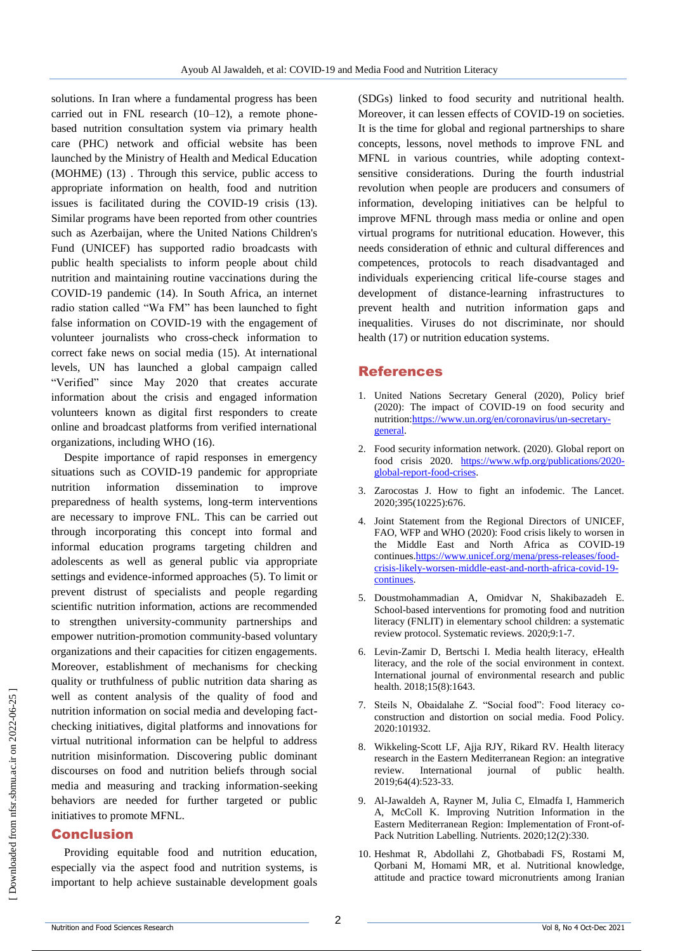solutions. In Iran where a fundamental progress has been carried out in FNL research (10–12), a remote phonebased nutrition consultation system via primary health care (PHC) network and official website has been launched by the Ministry of Health and Medical Education (MOHME) (13) . Through this service, public access to appropriate information on health, food and nutrition issues is facilitated during the COVID-19 crisis (13). Similar programs have been reported from other countries such as Azerbaijan, where the United Nations Children's Fund (UNICEF) has supported radio broadcasts with public health specialists to inform people about child nutrition and maintaining routine vaccinations during the COVID-19 pandemic (14). In South Africa, an internet radio station called "Wa FM" has been launched to fight false information on COVID-19 with the engagement of volunteer journalists who cross-check information to correct fake news on social media (15). At international levels, UN has launched a global campaign called "Verified" since May 2020 that creates accurate information about the crisis and engaged information volunteers known as digital first responders to create online and broadcast platforms from verified international organizations, including WHO (16).

Despite importance of rapid responses in emergency situations such as COVID-19 pandemic for appropriate nutrition information dissemination to improve preparedness of health systems, long-term interventions are necessary to improve FNL. This can be carried out through incorporating this concept into formal and informal education programs targeting children and adolescents as well as general public via appropriate settings and evidence-informed approaches (5). To limit or prevent distrust of specialists and people regarding scientific nutrition information, actions are recommended to strengthen university-community partnerships and empower nutrition-promotion community-based voluntary organizations and their capacities for citizen engagements. Moreover, establishment of mechanisms for checking quality or truthfulness of public nutrition data sharing as well as content analysis of the quality of food and nutrition information on social media and developing factchecking initiatives, digital platforms and innovations for virtual nutritional information can be helpful to address nutrition misinformation. Discovering public dominant discourses on food and nutrition beliefs through social media and measuring and tracking information-seeking behaviors are needed for further targeted or public initiatives to promote MFNL.

### Conclusion

Providing equitable food and nutrition education, especially via the aspect food and nutrition systems, is important to help achieve sustainable development goals (SDGs) linked to food security and nutritional health. Moreover, it can lessen effects of COVID-19 on societies. It is the time for global and regional partnerships to share concepts, lessons, novel methods to improve FNL and MFNL in various countries, while adopting contextsensitive considerations. During the fourth industrial revolution when people are producers and consumers of information, developing initiatives can be helpful to improve MFNL through mass media or online and open virtual programs for nutritional education. However, this needs consideration of ethnic and cultural differences and competences, protocols to reach disadvantaged and individuals experiencing critical life-course stages and development of distance-learning infrastructures to prevent health and nutrition information gaps and inequalities. Viruses do not discriminate, nor should health (17) or nutrition education systems.

### References

- 1. United Nations Secretary General (2020), Policy brief (2020): The impact of COVID-19 on food security and nutritio[n:https://www.un.org/en/coronavirus/un-secretary](https://www.un.org/en/coronavirus/un-secretary-general)[general.](https://www.un.org/en/coronavirus/un-secretary-general)
- 2. Food security information network. (2020). Global report on food crisis 2020. [https://www.wfp.org/publications/2020](https://www.wfp.org/publications/2020-global-report-food-crises) [global-report-food-crises.](https://www.wfp.org/publications/2020-global-report-food-crises)
- 3. Zarocostas J. How to fight an infodemic. The Lancet. 2020;395(10225):676.
- 4. Joint Statement from the Regional Directors of UNICEF, FAO, WFP and WHO (2020): Food crisis likely to worsen in the Middle East and North Africa as COVID-19 continues[.https://www.unicef.org/mena/press-releases/food](https://www.unicef.org/mena/press-releases/food-crisis-likely-worsen-middle-east-and-north-africa-covid-19-continues)[crisis-likely-worsen-middle-east-and-north-africa-covid-19](https://www.unicef.org/mena/press-releases/food-crisis-likely-worsen-middle-east-and-north-africa-covid-19-continues) [continues.](https://www.unicef.org/mena/press-releases/food-crisis-likely-worsen-middle-east-and-north-africa-covid-19-continues)
- 5. Doustmohammadian A, Omidvar N, Shakibazadeh E. School-based interventions for promoting food and nutrition literacy (FNLIT) in elementary school children: a systematic review protocol. Systematic reviews. 2020;9:1-7.
- 6. Levin-Zamir D, Bertschi I. Media health literacy, eHealth literacy, and the role of the social environment in context. International journal of environmental research and public health. 2018;15(8):1643.
- 7. Steils N, Obaidalahe Z. "Social food": Food literacy coconstruction and distortion on social media. Food Policy. 2020:101932.
- 8. Wikkeling-Scott LF, Ajja RJY, Rikard RV. Health literacy research in the Eastern Mediterranean Region: an integrative review. International journal of public health. 2019;64(4):523-33.
- 9. Al-Jawaldeh A, Rayner M, Julia C, Elmadfa I, Hammerich A, McColl K. Improving Nutrition Information in the Eastern Mediterranean Region: Implementation of Front-of-Pack Nutrition Labelling. Nutrients. 2020;12(2):330.
- 10. Heshmat R, Abdollahi Z, Ghotbabadi FS, Rostami M, Qorbani M, Homami MR, et al. Nutritional knowledge, attitude and practice toward micronutrients among Iranian